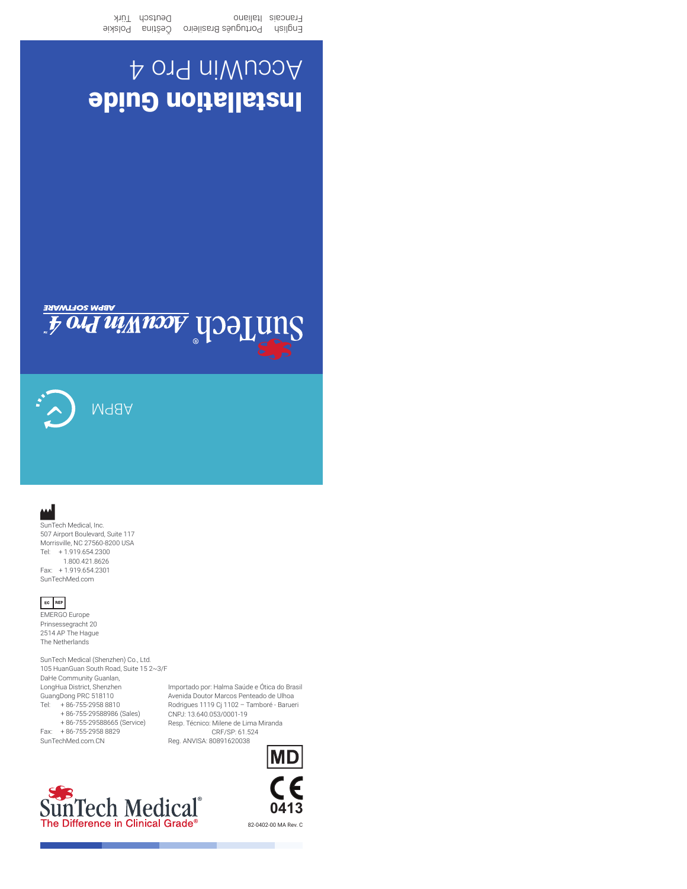*Ford Williams* UDOLUNS

ABPM

## Tel: + 1.919.654.2300

 1.800.421.8626 Fax: + 1.919.654.2301 SunTechMed.com

SunTech Medical, Inc. 507 Airport Boulevard, Suite 117 Morrisville, NC 27560-8200 USA

#### EC REP

EMERGO Europe Prinsessegracht 20 2514 AP The Hague The Netherlands

SunTech Medical (Shenzhen) Co., Ltd. 105 HuanGuan South Road, Suite 15 2~3/F DaHe Community Guanlan, LongHua District, Shenzhen GuangDong PRC 518110 Tel: + 86-755-2958 8810 + 86-755-29588986 (Sales) + 86-755-29588665 (Service) Fax: + 86-755-2958 8829 SunTechMed.com.CN

Importado por: Halma Saúde e Ótica do Brasil Avenida Doutor Marcos Penteado de Ulhoa Rodrigues 1119 Cj 1102 – Tamboré - Barueri CNPJ: 13.640.053/0001-19 Resp. Técnico: Milene de Lima Miranda CRF/SP: 61.524 Reg. ANVISA: 80891620038





82-0402-00 MA Rev. C

# Installation Guide AccuWin Pro 4

English Português Brasileiro Ceština Polskie Francais Italiano Francais Deutsch Itik